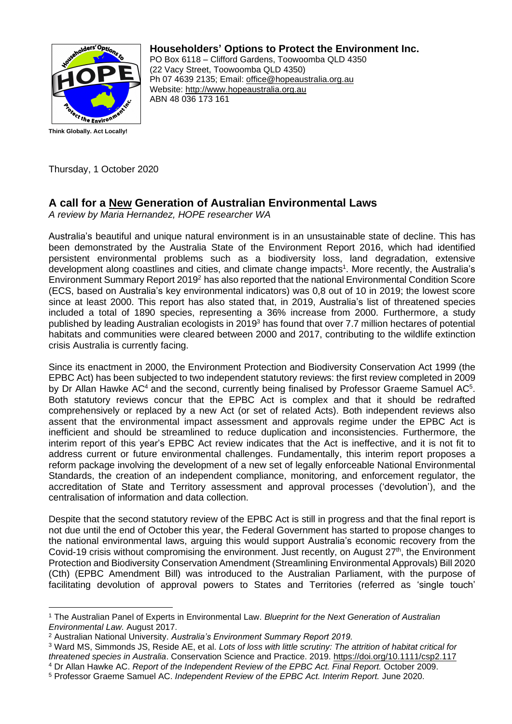

**Think Globally. Act Locally!**

**Householders' Options to Protect the Environment Inc.** PO Box 6118 – Clifford Gardens, Toowoomba QLD 4350 (22 Vacy Street, Toowoomba QLD 4350) Ph 07 4639 2135; Email: office@hopeaustralia.org.au

Website: http://www.hopeaustralia.org.au ABN 48 036 173 161

Thursday, 1 October 2020

## **A call for a New Generation of Australian Environmental Laws**

*A review by Maria Hernandez, HOPE researcher WA*

Australia's beautiful and unique natural environment is in an unsustainable state of decline. This has been demonstrated by the Australia State of the Environment Report 2016, which had identified persistent environmental problems such as a biodiversity loss, land degradation, extensive development along coastlines and cities, and climate change impacts<sup>1</sup>. More recently, the Australia's Environment Summary Report 2019<sup>2</sup> has also reported that the national Environmental Condition Score (ECS, based on Australia's key environmental indicators) was 0,8 out of 10 in 2019; the lowest score since at least 2000. This report has also stated that, in 2019, Australia's list of threatened species included a total of 1890 species, representing a 36% increase from 2000. Furthermore, a study published by leading Australian ecologists in 2019<sup>3</sup> has found that over 7.7 million hectares of potential habitats and communities were cleared between 2000 and 2017, contributing to the wildlife extinction crisis Australia is currently facing.

Since its enactment in 2000, the Environment Protection and Biodiversity Conservation Act 1999 (the EPBC Act) has been subjected to two independent statutory reviews: the first review completed in 2009 by Dr Allan Hawke AC<sup>4</sup> and the second, currently being finalised by Professor Graeme Samuel AC<sup>5</sup>. Both statutory reviews concur that the EPBC Act is complex and that it should be redrafted comprehensively or replaced by a new Act (or set of related Acts). Both independent reviews also assent that the environmental impact assessment and approvals regime under the EPBC Act is inefficient and should be streamlined to reduce duplication and inconsistencies. Furthermore, the interim report of this year's EPBC Act review indicates that the Act is ineffective, and it is not fit to address current or future environmental challenges. Fundamentally, this interim report proposes a reform package involving the development of a new set of legally enforceable National Environmental Standards, the creation of an independent compliance, monitoring, and enforcement regulator, the accreditation of State and Territory assessment and approval processes ('devolution'), and the centralisation of information and data collection.

Despite that the second statutory review of the EPBC Act is still in progress and that the final report is not due until the end of October this year, the Federal Government has started to propose changes to the national environmental laws, arguing this would support Australia's economic recovery from the Covid-19 crisis without compromising the environment. Just recently, on August 27<sup>th</sup>, the Environment Protection and Biodiversity Conservation Amendment (Streamlining Environmental Approvals) Bill 2020 (Cth) (EPBC Amendment Bill) was introduced to the Australian Parliament, with the purpose of facilitating devolution of approval powers to States and Territories (referred as 'single touch'

<sup>3</sup> Ward MS, Simmonds JS, Reside AE, et al. *Lots of loss with little scrutiny: The attrition of habitat critical for threatened species in Australia*. Conservation Science and Practice. 2019. https://doi.org/10.1111/csp2.117

<sup>5</sup> Professor Graeme Samuel AC. *Independent Review of the EPBC Act. Interim Report.* June 2020.

<sup>1</sup> The Australian Panel of Experts in Environmental Law. *Blueprint for the Next Generation of Australian Environmental Law.* August 2017.

<sup>2</sup> Australian National University. *Australia's Environment Summary Report 2019.*

<sup>4</sup> Dr Allan Hawke AC. *Report of the Independent Review of the EPBC Act. Final Report.* October 2009.